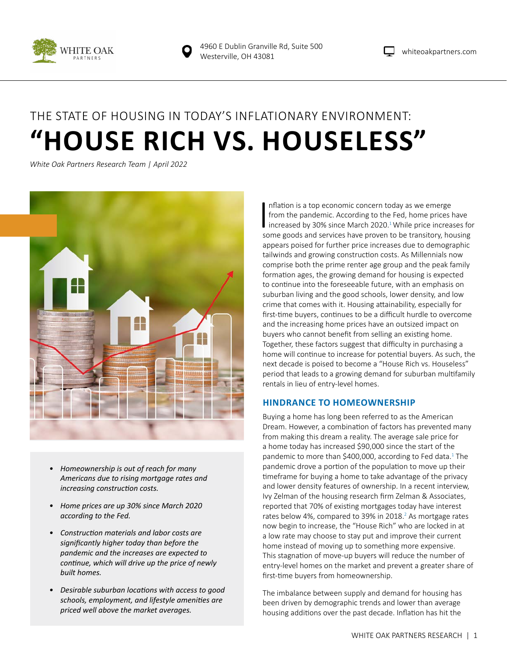

# THE STATE OF HOUSING IN TODAY'S INFLATIONARY ENVIRONMENT: **"HOUSE RICH VS. HOUSELESS"**

*White Oak Partners Research Team | April 2022*



- *• Homeownership is out of reach for many Americans due to rising mortgage rates and increasing construction costs.*
- *• Home prices are up 30% since March 2020 according to the Fed.*
- *• Construction materials and labor costs are significantly higher today than before the pandemic and the increases are expected to continue, which will drive up the price of newly built homes.*
- *• Desirable suburban locations with access to good schools, employment, and lifestyle amenities are priced well above the market averages.*

 $\prod_{\infty}$ nflation is a top economic concern today as we emerge from the pandemic. According to the Fed, home prices have increased by 30% since March 2020.<sup>1</sup> While price increases for some goods and services have proven to be transitory, housing appears poised for further price increases due to demographic tailwinds and growing construction costs. As Millennials now comprise both the prime renter age group and the peak family formation ages, the growing demand for housing is expected to continue into the foreseeable future, with an emphasis on suburban living and the good schools, lower density, and low crime that comes with it. Housing attainability, especially for first-time buyers, continues to be a difficult hurdle to overcome and the increasing home prices have an outsized impact on buyers who cannot benefit from selling an existing home. Together, these factors suggest that difficulty in purchasing a home will continue to increase for potential buyers. As such, the next decade is poised to become a "House Rich vs. Houseless" period that leads to a growing demand for suburban multifamily rentals in lieu of entry-level homes.

# **HINDRANCE TO HOMEOWNERSHIP**

Buying a home has long been referred to as the American Dream. However, a combination of factors has prevented many from making this dream a reality. The average sale price for a home today has increased \$90,000 since the start of the pandemic to more than \$400,000, according to Fed data. $^1$  The pandemic drove a portion of the population to move up their timeframe for buying a home to take advantage of the privacy and lower density features of ownership. In a recent interview, Ivy Zelman of the housing research firm Zelman & Associates, reported that 70% of existing mortgages today have interest rates below 4%, compared to 39% in 2018.<sup>2</sup> As mortgage rates now begin to increase, the "House Rich" who are locked in at a low rate may choose to stay put and improve their current home instead of moving up to something more expensive. This stagnation of move-up buyers will reduce the number of entry-level homes on the market and prevent a greater share of first-time buyers from homeownership.

The imbalance between supply and demand for housing has been driven by demographic trends and lower than average housing additions over the past decade. Inflation has hit the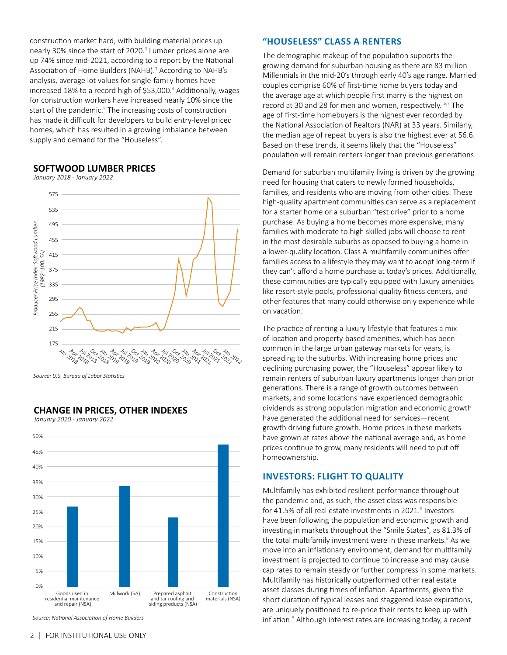construction market hard, with building material prices up nearly 30% since the start of 2020.<sup>3</sup> Lumber prices alone are up 74% since mid-2021, according to a report by the National Association of Home Builders (NAHB).<sup>3</sup> According to NAHB's analysis, average lot values for single-family homes have increased 18% to a record high of \$53,000.<sup>4</sup> Additionally, wages for construction workers have increased nearly 10% since the start of the pandemic.<sup>5</sup> The increasing costs of construction has made it difficult for developers to build entry-level priced homes, which has resulted in a growing imbalance between supply and demand for the "Houseless".

### **SOFTWOOD LUMBER PRICES**

*January 2018 - January 2022*



*Source: U.S. Bureau of Labor Statistics*

## **CHANGE IN PRICES, OTHER INDEXES**

*January 2020 - January 2022*



*Source: National Association of Home Builders* 

# **"HOUSELESS" CLASS A RENTERS**

The demographic makeup of the population supports the growing demand for suburban housing as there are 83 million Millennials in the mid-20's through early 40's age range. Married couples comprise 60% of first-time home buyers today and the average age at which people first marry is the highest on record at 30 and 28 for men and women, respectively. 6,7 The age of first-time homebuyers is the highest ever recorded by the National Association of Realtors (NAR) at 33 years. Similarly, the median age of repeat buyers is also the highest ever at 56.6. Based on these trends, it seems likely that the "Houseless" population will remain renters longer than previous generations.

Demand for suburban multifamily living is driven by the growing need for housing that caters to newly formed households, families, and residents who are moving from other cities. These high-quality apartment communities can serve as a replacement for a starter home or a suburban "test drive" prior to a home purchase. As buying a home becomes more expensive, many families with moderate to high skilled jobs will choose to rent in the most desirable suburbs as opposed to buying a home in a lower-quality location. Class A multifamily communities offer families access to a lifestyle they may want to adopt long-term if they can't afford a home purchase at today's prices. Additionally, these communities are typically equipped with luxury amenities like resort-style pools, professional quality fitness centers, and other features that many could otherwise only experience while on vacation.

The practice of renting a luxury lifestyle that features a mix of location and property-based amenities, which has been common in the large urban gateway markets for years, is spreading to the suburbs. With increasing home prices and declining purchasing power, the "Houseless" appear likely to remain renters of suburban luxury apartments longer than prior generations. There is a range of growth outcomes between markets, and some locations have experienced demographic dividends as strong population migration and economic growth have generated the additional need for services—recent growth driving future growth. Home prices in these markets have grown at rates above the national average and, as home prices continue to grow, many residents will need to put off homeownership.

# **INVESTORS: FLIGHT TO QUALITY**

Multifamily has exhibited resilient performance throughout the pandemic and, as such, the asset class was responsible for 41.5% of all real estate investments in 2021.<sup>8</sup> Investors have been following the population and economic growth and investing in markets throughout the "Smile States", as 81.3% of the total multifamily investment were in these markets.<sup>8</sup> As we move into an inflationary environment, demand for multifamily investment is projected to continue to increase and may cause cap rates to remain steady or further compress in some markets. Multifamily has historically outperformed other real estate asset classes during times of inflation. Apartments, given the short duration of typical leases and staggered lease expirations, are uniquely positioned to re-price their rents to keep up with inflation.<sup>8</sup> Although interest rates are increasing today, a recent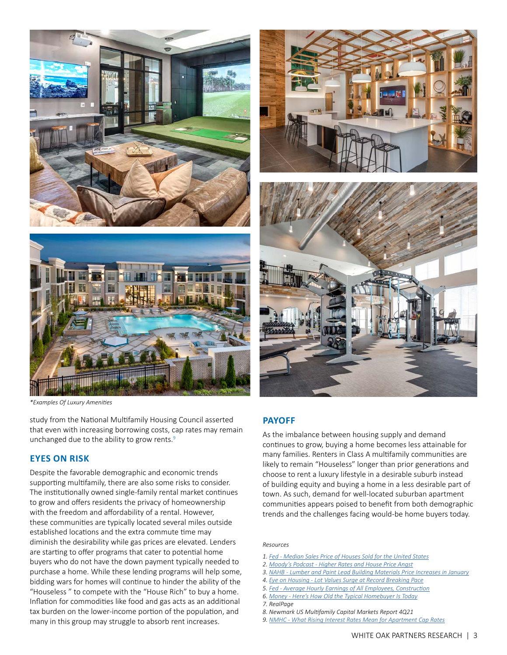



*\*Examples Of Luxury Amenities*

study from the National Multifamily Housing Council asserted that even with increasing borrowing costs, cap rates may remain unchanged due to the ability to grow rents. $9$ 

#### **EYES ON RISK**

Despite the favorable demographic and economic trends supporting multifamily, there are also some risks to consider. The institutionally owned single-family rental market continues to grow and offers residents the privacy of homeownership with the freedom and affordability of a rental. However, these communities are typically located several miles outside established locations and the extra commute time may diminish the desirability while gas prices are elevated. Lenders are starting to offer programs that cater to potential home buyers who do not have the down payment typically needed to purchase a home. While these lending programs will help some, bidding wars for homes will continue to hinder the ability of the "Houseless " to compete with the "House Rich" to buy a home. Inflation for commodities like food and gas acts as an additional tax burden on the lower-income portion of the population, and many in this group may struggle to absorb rent increases.





# **PAYOFF**

As the imbalance between housing supply and demand continues to grow, buying a home becomes less attainable for many families. Renters in Class A multifamily communities are likely to remain "Houseless" longer than prior generations and choose to rent a luxury lifestyle in a desirable suburb instead of building equity and buying a home in a less desirable part of town. As such, demand for well-located suburban apartment communities appears poised to benefit from both demographic trends and the challenges facing would-be home buyers today.

#### *Resources*

- *1. [Fed](https://fred.stlouisfed.org/series/MSPUS) Median Sales Price of Houses Sold for the United States*
- *2. [Moody's Podcast](https://about.moodys.io/podcast-episodes/higher-rates-and-house-price-angst) Higher Rates and House Price Angst*
- *3. [NAHB](https://nahbnow.com/2022/02/lumber-and-paint-lead-building-materials-price-increases-in-january/)  Lumber and Paint Lead Building Materials Price Increases in January*
- *4. [Eye on Housing](https://eyeonhousing.org/2021/08/lot-values-surge-at-record-breaking-pace/)  Lot Values Surge at Record Breaking Pace*
- *5. [Fed](https://fred.stlouisfed.org/series/CES2000000003) Average Hourly Earnings of All Employees, Construction*
- *6. [Money](https://money.com/first-time-home-buyer-2021/#:~:text=A%20new%20report%20from%20the,slightly%20to%2045%20this%20year) Here's How Old the Typical Homebuyer Is Today*
- *7. RealPage*
- *8. Newmark US Multifamily Capital Markets Report 4Q21*
- *9. [NMHC](https://www.nmhc.org/research-insight/research-notes/2022/what-rising-interest-rates-mean-for-apartment-cap-rates/?utm_medium=email&utm_source=apartmentwire&utm_campaign=nmhc_news&mkt_tok=Njc2LVVERC03MTQAAAGDhUTqAr67UOAwU8MuL2bgrj8A12_SJzWkdso2Ag9nxsqDyi0Sr4MKDsgaP8MLh5cZvDABlzaOLEwHl-iPdS53mkJDXz1CP4COjzA0rKY) What Rising Interest Rates Mean for [Apartment Cap Rates](http:// Apartment Cap Rates)*